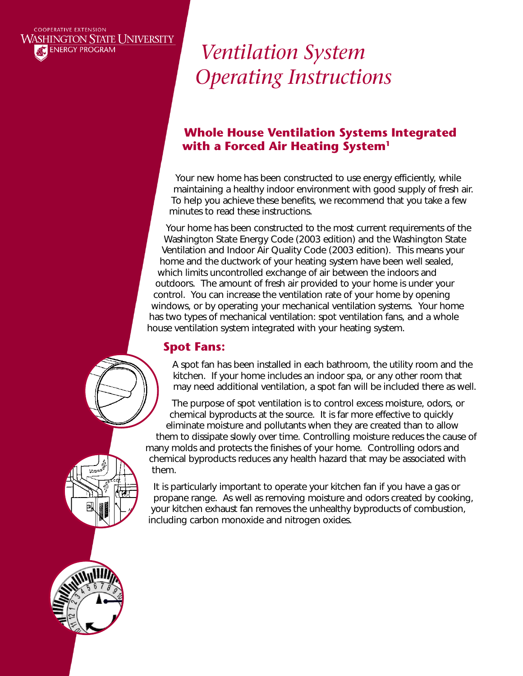### **COOPERATIVE EXTENSION WASHINGTON STATE UNIVERSITY ENERGY PROGRAM**

# *Ventilation System Operating Instructions*

### **Whole House Ventilation Systems Integrated with a Forced Air Heating System1**

Your new home has been constructed to use energy efficiently, while maintaining a healthy indoor environment with good supply of fresh air. To help you achieve these benefits, we recommend that you take a few minutes to read these instructions.

Your home has been constructed to the most current requirements of the Washington State Energy Code (2003 edition) and the Washington State Ventilation and Indoor Air Quality Code (2003 edition). This means your home and the ductwork of your heating system have been well sealed, which limits uncontrolled exchange of air between the indoors and outdoors. The amount of fresh air provided to your home is under your control. You can increase the ventilation rate of your home by opening windows, or by operating your mechanical ventilation systems. Your home has two types of mechanical ventilation: spot ventilation fans, and a whole house ventilation system integrated with your heating system.

## **Spot Fans:**

A spot fan has been installed in each bathroom, the utility room and the kitchen. If your home includes an indoor spa, or any other room that may need additional ventilation, a spot fan will be included there as well.

The purpose of spot ventilation is to control excess moisture, odors, or chemical byproducts at the source. It is far more effective to quickly eliminate moisture and pollutants when they are created than to allow them to dissipate slowly over time. Controlling moisture reduces the cause of many molds and protects the finishes of your home. Controlling odors and chemical byproducts reduces any health hazard that may be associated with them.

It is particularly important to operate your kitchen fan if you have a gas or propane range. As well as removing moisture and odors created by cooking, your kitchen exhaust fan removes the unhealthy byproducts of combustion, including carbon monoxide and nitrogen oxides.

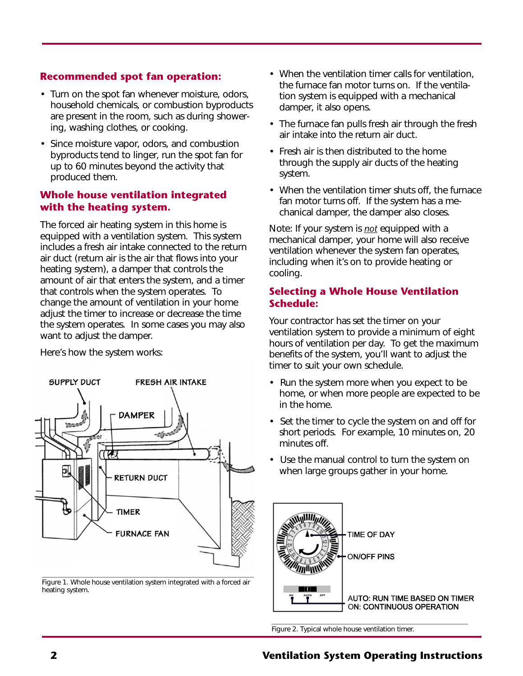### **Recommended spot fan operation:**

- Turn on the spot fan whenever moisture, odors, household chemicals, or combustion byproducts are present in the room, such as during showering, washing clothes, or cooking.
- Since moisture vapor, odors, and combustion byproducts tend to linger, run the spot fan for up to 60 minutes beyond the activity that produced them.

### **Whole house ventilation integrated with the heating system.**

The forced air heating system in this home is equipped with a ventilation system. This system includes a fresh air intake connected to the return air duct (return air is the air that flows into your heating system), a damper that controls the amount of air that enters the system, and a timer that controls when the system operates. To change the amount of ventilation in your home adjust the timer to increase or decrease the time the system operates. In some cases you may also want to adjust the damper.

Here's how the system works:



Figure 1. Whole house ventilation system integrated with a forced air heating system.

- When the ventilation timer calls for ventilation, the furnace fan motor turns on. If the ventilation system is equipped with a mechanical damper, it also opens.
- The furnace fan pulls fresh air through the fresh air intake into the return air duct.
- Fresh air is then distributed to the home through the supply air ducts of the heating system.
- When the ventilation timer shuts off, the furnace fan motor turns off. If the system has a mechanical damper, the damper also closes.

Note: If your system is *not* equipped with a mechanical damper, your home will also receive ventilation whenever the system fan operates, including when it's on to provide heating or cooling.

### **Selecting a Whole House Ventilation Schedule:**

Your contractor has set the timer on your ventilation system to provide a minimum of eight hours of ventilation per day. To get the maximum benefits of the system, you'll want to adjust the timer to suit your own schedule.

- Run the system more when you expect to be home, or when more people are expected to be in the home.
- Set the timer to cycle the system on and off for short periods. For example, 10 minutes on, 20 minutes off.
- Use the manual control to turn the system on when large groups gather in your home.



Figure 2. Typical whole house ventilation timer.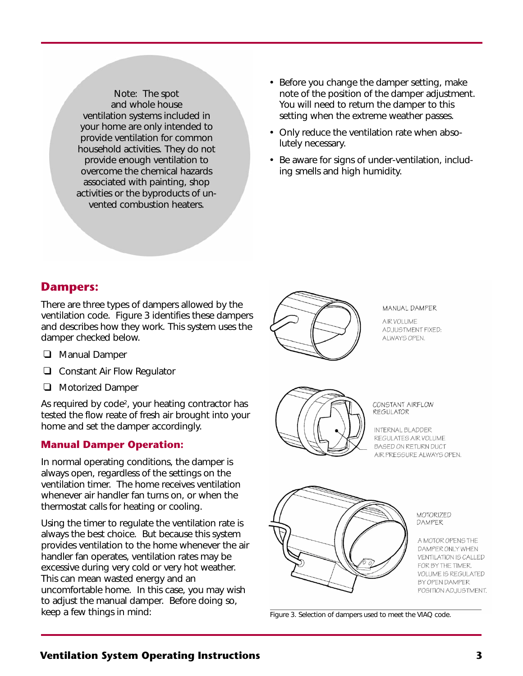Note: The spot and whole house ventilation systems included in your home are only intended to provide ventilation for common household activities. They do not provide enough ventilation to overcome the chemical hazards associated with painting, shop activities or the byproducts of unvented combustion heaters.

- Before you change the damper setting, make note of the position of the damper adjustment. You will need to return the damper to this setting when the extreme weather passes.
- Only reduce the ventilation rate when absolutely necessary.
- Be aware for signs of under-ventilation, including smells and high humidity.

### **Dampers:**

There are three types of dampers allowed by the ventilation code. Figure 3 identifies these dampers and describes how they work. This system uses the damper checked below.

- ❑ Manual Damper
- ❑ Constant Air Flow Regulator
- ❑ Motorized Damper

As required by code<sup>2</sup>, your heating contractor has tested the flow reate of fresh air brought into your home and set the damper accordingly.

### **Manual Damper Operation:**

In normal operating conditions, the damper is always open, regardless of the settings on the ventilation timer. The home receives ventilation whenever air handler fan turns on, or when the thermostat calls for heating or cooling.

Using the timer to regulate the ventilation rate is always the best choice. But because this system provides ventilation to the home whenever the air handler fan operates, ventilation rates may be excessive during very cold or very hot weather. This can mean wasted energy and an uncomfortable home. In this case, you may wish to adjust the manual damper. Before doing so, keep a few things in mind:



#### MANUAL DAMPER

AIR VOLUME ADJUSTMENT FIXED: ALWAYS OPEN.



#### CONSTANT AIRFLOW **REGULATOR**

INTERNAL BLADDER REGULATES AIR VOLUME **BASED ON RETURN DUCT** AIR PRESSURE ALWAYS OPEN.



MOTORIZED DAMPER

> A MOTOR OPENS THE DAMPER ONLY WHEN **VENTILATION IS CALLED** FOR BY THE TIMER. **VOLUME IS REGULATED** BY OPEN DAMPER POSITION ADJUSTMENT.

Figure 3. Selection of dampers used to meet the VIAQ code.